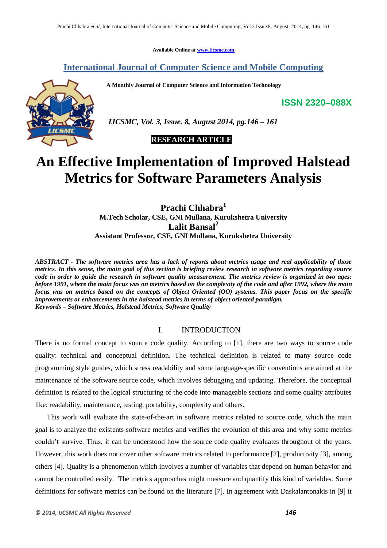**Available Online at www.ijcsmc.com**

## **International Journal of Computer Science and Mobile Computing**

 **A Monthly Journal of Computer Science and Information Technology**

**ISSN 2320–088X**



 *IJCSMC, Vol. 3, Issue. 8, August 2014, pg.146 – 161*

 **RESEARCH ARTICLE**

# **An Effective Implementation of Improved Halstead Metrics for Software Parameters Analysis**

**Prachi Chhabra<sup>1</sup> M.Tech Scholar, CSE, GNI Mullana, Kurukshetra University Lalit Bansal<sup>2</sup> Assistant Professor, CSE, GNI Mullana, Kurukshetra University**

*ABSTRACT - The software metrics area has a lack of reports about metrics usage and real applicability of those metrics. In this sense, the main goal of this section is briefing review research in software metrics regarding source code in order to guide the research in software quality measurement. The metrics review is organized in two ages: before 1991, where the main focus was on metrics based on the complexity of the code and after 1992, where the main focus was on metrics based on the concepts of Object Oriented (OO) systems. This paper focus on the specific improvements or enhancements in the halstead metrics in terms of object oriented paradigm. Keywords – Software Metrics, Halstead Metrics, Software Quality*

## I. INTRODUCTION

There is no formal concept to source code quality. According to [1], there are two ways to source code quality: technical and conceptual definition. The technical definition is related to many source code programming style guides, which stress readability and some language-specific conventions are aimed at the maintenance of the software source code, which involves debugging and updating. Therefore, the conceptual definition is related to the logical structuring of the code into manageable sections and some quality attributes like: readability, maintenance, testing, portability, complexity and others.

This work will evaluate the state-of-the-art in software metrics related to source code, which the main goal is to analyze the existents software metrics and verifies the evolution of this area and why some metrics couldn't survive. Thus, it can be understood how the source code quality evaluates throughout of the years. However, this work does not cover other software metrics related to performance [2], productivity [3], among others [4]. Quality is a phenomenon which involves a number of variables that depend on human behavior and cannot be controlled easily. The metrics approaches might measure and quantify this kind of variables. Some definitions for software metrics can be found on the literature [7]. In agreement with Daskalantonakis in [9] it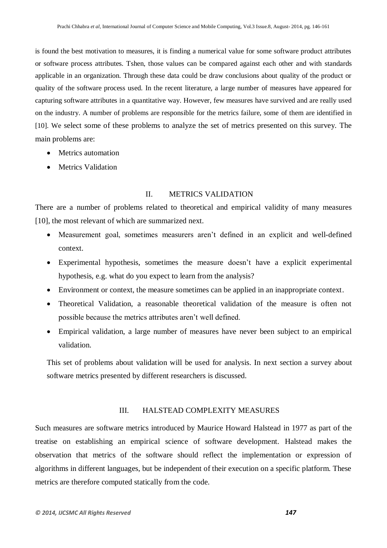is found the best motivation to measures, it is finding a numerical value for some software product attributes or software process attributes. Tshen, those values can be compared against each other and with standards applicable in an organization. Through these data could be draw conclusions about quality of the product or quality of the software process used. In the recent literature, a large number of measures have appeared for capturing software attributes in a quantitative way. However, few measures have survived and are really used on the industry. A number of problems are responsible for the metrics failure, some of them are identified in [10]. We select some of these problems to analyze the set of metrics presented on this survey. The main problems are:

- Metrics automation
- Metrics Validation

## II. METRICS VALIDATION

There are a number of problems related to theoretical and empirical validity of many measures [10], the most relevant of which are summarized next.

- Measurement goal, sometimes measurers aren't defined in an explicit and well-defined context.
- Experimental hypothesis, sometimes the measure doesn't have a explicit experimental hypothesis, e.g. what do you expect to learn from the analysis?
- Environment or context, the measure sometimes can be applied in an inappropriate context.
- Theoretical Validation, a reasonable theoretical validation of the measure is often not possible because the metrics attributes aren't well defined.
- Empirical validation, a large number of measures have never been subject to an empirical validation.

This set of problems about validation will be used for analysis. In next section a survey about software metrics presented by different researchers is discussed.

## III. HALSTEAD COMPLEXITY MEASURES

Such measures are software metrics introduced by Maurice Howard Halstead in 1977 as part of the treatise on establishing an empirical science of software development. Halstead makes the observation that metrics of the software should reflect the implementation or expression of algorithms in different languages, but be independent of their execution on a specific platform. These metrics are therefore computed statically from the code.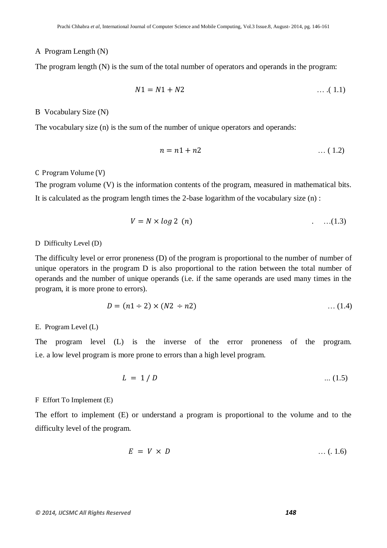#### A Program Length (N)

The program length (N) is the sum of the total number of operators and operands in the program:

$$
N1 = N1 + N2 \tag{1.1}
$$

### B Vocabulary Size (N)

The vocabulary size (n) is the sum of the number of unique operators and operands:

$$
n = n1 + n2 \tag{1.2}
$$

#### C Program Volume (V)

The program volume (V) is the information contents of the program, measured in mathematical bits. It is calculated as the program length times the 2-base logarithm of the vocabulary size (n) :

$$
V = N \times \log 2 \quad (n)
$$

#### D Difficulty Level (D)

The difficulty level or error proneness (D) of the program is proportional to the number of number of unique operators in the program D is also proportional to the ration between the total number of operands and the number of unique operands (i.e. if the same operands are used many times in the program, it is more prone to errors).

$$
D = (n1 \div 2) \times (N2 \div n2) \tag{1.4}
$$

#### E. Program Level (L)

The program level (L) is the inverse of the error proneness of the program. i.e. a low level program is more prone to errors than a high level program.

$$
L = 1/D \tag{1.5}
$$

F Effort To Implement (E)

The effort to implement (E) or understand a program is proportional to the volume and to the difficulty level of the program.

$$
E = V \times D \tag{1.6}
$$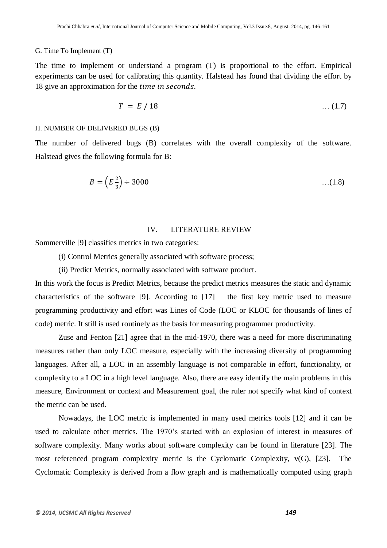#### G. Time To Implement (T)

The time to implement or understand a program (T) is proportional to the effort. Empirical experiments can be used for calibrating this quantity. Halstead has found that dividing the effort by 18 give an approximation for the *time in seconds*.

$$
T = E / 18 \tag{1.7}
$$

#### H. NUMBER OF DELIVERED BUGS (B)

The number of delivered bugs (B) correlates with the overall complexity of the software. Halstead gives the following formula for B:

$$
B = \left(E\frac{2}{3}\right) \div 3000 \tag{1.8}
$$

## IV. LITERATURE REVIEW

Sommerville [9] classifies metrics in two categories:

(i) Control Metrics generally associated with software process;

(ii) Predict Metrics, normally associated with software product.

In this work the focus is Predict Metrics, because the predict metrics measures the static and dynamic characteristics of the software [9]. According to [17] the first key metric used to measure programming productivity and effort was Lines of Code (LOC or KLOC for thousands of lines of code) metric. It still is used routinely as the basis for measuring programmer productivity.

Zuse and Fenton [21] agree that in the mid-1970, there was a need for more discriminating measures rather than only LOC measure, especially with the increasing diversity of programming languages. After all, a LOC in an assembly language is not comparable in effort, functionality, or complexity to a LOC in a high level language. Also, there are easy identify the main problems in this measure, Environment or context and Measurement goal, the ruler not specify what kind of context the metric can be used.

Nowadays, the LOC metric is implemented in many used metrics tools [12] and it can be used to calculate other metrics. The 1970's started with an explosion of interest in measures of software complexity. Many works about software complexity can be found in literature [23]. The most referenced program complexity metric is the Cyclomatic Complexity, v(G), [23]. The Cyclomatic Complexity is derived from a flow graph and is mathematically computed using graph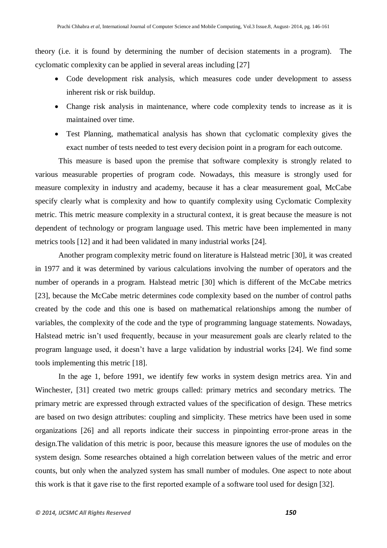theory (i.e. it is found by determining the number of decision statements in a program). The cyclomatic complexity can be applied in several areas including [27]

- Code development risk analysis, which measures code under development to assess inherent risk or risk buildup.
- Change risk analysis in maintenance, where code complexity tends to increase as it is maintained over time.
- Test Planning, mathematical analysis has shown that cyclomatic complexity gives the exact number of tests needed to test every decision point in a program for each outcome.

This measure is based upon the premise that software complexity is strongly related to various measurable properties of program code. Nowadays, this measure is strongly used for measure complexity in industry and academy, because it has a clear measurement goal, McCabe specify clearly what is complexity and how to quantify complexity using Cyclomatic Complexity metric. This metric measure complexity in a structural context, it is great because the measure is not dependent of technology or program language used. This metric have been implemented in many metrics tools [12] and it had been validated in many industrial works [24].

Another program complexity metric found on literature is Halstead metric [30], it was created in 1977 and it was determined by various calculations involving the number of operators and the number of operands in a program. Halstead metric [30] which is different of the McCabe metrics [23], because the McCabe metric determines code complexity based on the number of control paths created by the code and this one is based on mathematical relationships among the number of variables, the complexity of the code and the type of programming language statements. Nowadays, Halstead metric isn't used frequently, because in your measurement goals are clearly related to the program language used, it doesn't have a large validation by industrial works [24]. We find some tools implementing this metric [18].

In the age 1, before 1991, we identify few works in system design metrics area. Yin and Winchester, [31] created two metric groups called: primary metrics and secondary metrics. The primary metric are expressed through extracted values of the specification of design. These metrics are based on two design attributes: coupling and simplicity. These metrics have been used in some organizations [26] and all reports indicate their success in pinpointing error-prone areas in the design.The validation of this metric is poor, because this measure ignores the use of modules on the system design. Some researches obtained a high correlation between values of the metric and error counts, but only when the analyzed system has small number of modules. One aspect to note about this work is that it gave rise to the first reported example of a software tool used for design [32].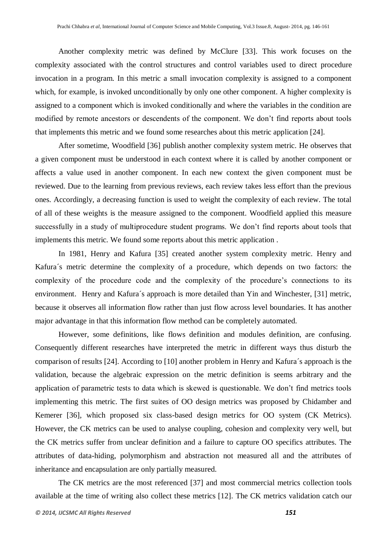Another complexity metric was defined by McClure [33]. This work focuses on the complexity associated with the control structures and control variables used to direct procedure invocation in a program. In this metric a small invocation complexity is assigned to a component which, for example, is invoked unconditionally by only one other component. A higher complexity is assigned to a component which is invoked conditionally and where the variables in the condition are modified by remote ancestors or descendents of the component. We don't find reports about tools that implements this metric and we found some researches about this metric application [24].

After sometime, Woodfield [36] publish another complexity system metric. He observes that a given component must be understood in each context where it is called by another component or affects a value used in another component. In each new context the given component must be reviewed. Due to the learning from previous reviews, each review takes less effort than the previous ones. Accordingly, a decreasing function is used to weight the complexity of each review. The total of all of these weights is the measure assigned to the component. Woodfield applied this measure successfully in a study of multiprocedure student programs. We don't find reports about tools that implements this metric. We found some reports about this metric application .

In 1981, Henry and Kafura [35] created another system complexity metric. Henry and Kafura´s metric determine the complexity of a procedure, which depends on two factors: the complexity of the procedure code and the complexity of the procedure's connections to its environment. Henry and Kafura´s approach is more detailed than Yin and Winchester, [31] metric, because it observes all information flow rather than just flow across level boundaries. It has another major advantage in that this information flow method can be completely automated.

However, some definitions, like flows definition and modules definition, are confusing. Consequently different researches have interpreted the metric in different ways thus disturb the comparison of results [24]. According to [10] another problem in Henry and Kafura´s approach is the validation, because the algebraic expression on the metric definition is seems arbitrary and the application of parametric tests to data which is skewed is questionable. We don't find metrics tools implementing this metric. The first suites of OO design metrics was proposed by Chidamber and Kemerer [36], which proposed six class-based design metrics for OO system (CK Metrics). However, the CK metrics can be used to analyse coupling, cohesion and complexity very well, but the CK metrics suffer from unclear definition and a failure to capture OO specifics attributes. The attributes of data-hiding, polymorphism and abstraction not measured all and the attributes of inheritance and encapsulation are only partially measured.

The CK metrics are the most referenced [37] and most commercial metrics collection tools available at the time of writing also collect these metrics [12]. The CK metrics validation catch our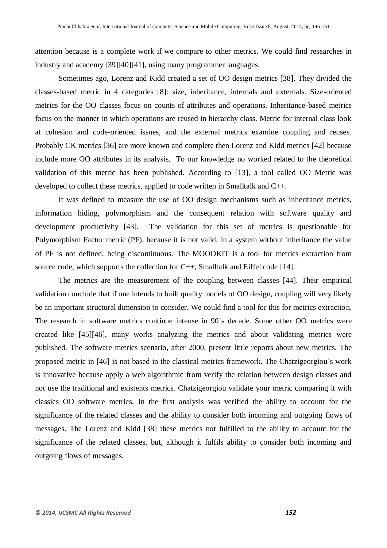attention because is a complete work if we compare to other metrics. We could find researches in industry and academy [39][40][41], using many programmer languages.

Sometimes ago, Lorenz and Kidd created a set of OO design metrics [38]. They divided the classes-based metric in 4 categories [8]: size, inheritance, internals and externals. Size-oriented metrics for the OO classes focus on counts of attributes and operations. Inheritance-based metrics focus on the manner in which operations are reused in hierarchy class. Metric for internal class look at cohesion and code-oriented issues, and the external metrics examine coupling and reuses. Probably CK metrics [36] are more known and complete then Lorenz and Kidd metrics [42] because include more OO attributes in its analysis. To our knowledge no worked related to the theoretical validation of this metric has been published. According to [13], a tool called OO Metric was developed to collect these metrics, applied to code written in Smalltalk and C++.

It was defined to measure the use of OO design mechanisms such as inheritance metrics, information hiding, polymorphism and the consequent relation with software quality and development productivity [43]. The validation for this set of metrics is questionable for Polymorphism Factor metric (PF), because it is not valid, in a system without inheritance the value of PF is not defined, being discontinuous. The MOODKIT is a tool for metrics extraction from source code, which supports the collection for C++, Smalltalk and Eiffel code [14].

The metrics are the measurement of the coupling between classes [44]. Their empirical validation conclude that if one intends to built quality models of OO design, coupling will very likely be an important structural dimension to consider. We could find a tool for this for metrics extraction. The research in software metrics continue intense in 90´s decade. Some other OO metrics were created like [45][46], many works analyzing the metrics and about validating metrics were published. The software metrics scenario, after 2000, present little reports about new metrics. The proposed metric in [46] is not based in the classical metrics framework. The Chatzigeorgiou´s work is innovative because apply a web algorithmic from verify the relation between design classes and not use the traditional and existents metrics. Chatzigeorgiou validate your metric comparing it with classics OO software metrics. In the first analysis was verified the ability to account for the significance of the related classes and the ability to consider both incoming and outgoing flows of messages. The Lorenz and Kidd [38] these metrics not fulfilled to the ability to account for the significance of the related classes, but, although it fulfils ability to consider both incoming and outgoing flows of messages.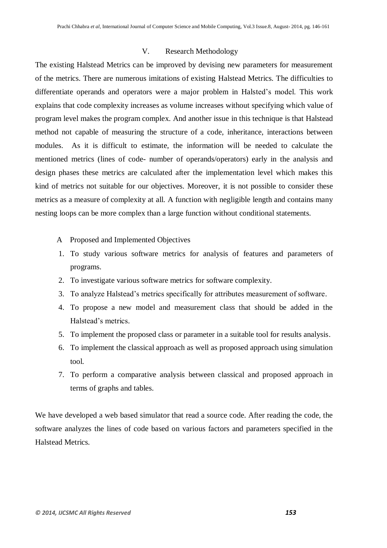## V. Research Methodology

The existing Halstead Metrics can be improved by devising new parameters for measurement of the metrics. There are numerous imitations of existing Halstead Metrics. The difficulties to differentiate operands and operators were a major problem in Halsted's model. This work explains that code complexity increases as volume increases without specifying which value of program level makes the program complex. And another issue in this technique is that Halstead method not capable of measuring the structure of a code, inheritance, interactions between modules. As it is difficult to estimate, the information will be needed to calculate the mentioned metrics (lines of code- number of operands/operators) early in the analysis and design phases these metrics are calculated after the implementation level which makes this kind of metrics not suitable for our objectives. Moreover, it is not possible to consider these metrics as a measure of complexity at all. A function with negligible length and contains many nesting loops can be more complex than a large function without conditional statements.

- A Proposed and Implemented Objectives
- 1. To study various software metrics for analysis of features and parameters of programs.
- 2. To investigate various software metrics for software complexity.
- 3. To analyze Halstead's metrics specifically for attributes measurement of software.
- 4. To propose a new model and measurement class that should be added in the Halstead's metrics.
- 5. To implement the proposed class or parameter in a suitable tool for results analysis.
- 6. To implement the classical approach as well as proposed approach using simulation tool.
- 7. To perform a comparative analysis between classical and proposed approach in terms of graphs and tables.

We have developed a web based simulator that read a source code. After reading the code, the software analyzes the lines of code based on various factors and parameters specified in the Halstead Metrics.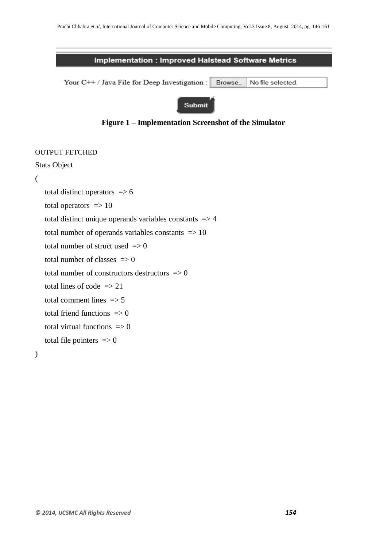### **Implementation: Improved Halstead Software Metrics**

Your C++ / Java File for Deep Investigation : Browse\_ No file selected.

## Submit



# OUTPUT FETCHED Stats Object ( total distinct operators  $\Rightarrow$  6 total operators  $\Rightarrow$  10 total distinct unique operands variables constants  $\Rightarrow$  4 total number of operands variables constants  $\Rightarrow$  10 total number of struct used  $\Rightarrow$  0 total number of classes  $\Rightarrow$  0 total number of constructors destructors  $\Rightarrow$  0 total lines of code  $\Rightarrow$  21 total comment lines  $\Rightarrow$  5 total friend functions  $\Rightarrow$  0 total virtual functions  $\Rightarrow$  0 total file pointers  $\Rightarrow$  0

)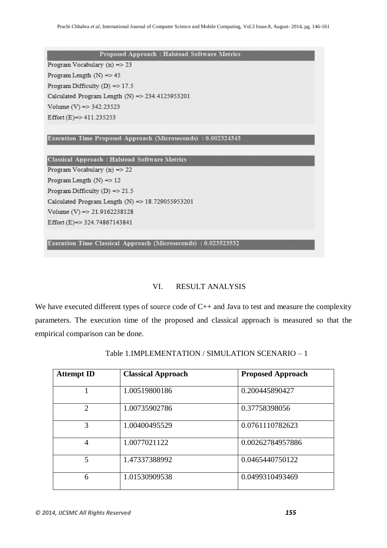Proposed Approach : Halstead Software Metrics

Program Vocabulary (n)  $\Rightarrow$  23

Program Length  $(N) = > 45$ Program Difficulty (D) =  $> 17.5$ Calculated Program Length (N) =  $> 234.4125953201$ Volume (V) = > 342.23523 Effort (E)=> 411.235253

Execution Time Proposed Approach (Microseconds) : 0.002324343

Classical Approach : Halstead Software Metrics Program Vocabulary (n)  $\Rightarrow$  22 Program Length  $(N)$  => 12 Program Difficulty (D) =  $> 21.5$ Calculated Program Length  $(N)$  => 18.729055953201 Volume (V) =  $> 21.9162238128$ Effort (E)=> 324.74867143841

Execution Time Classical Approach (Microseconds) : 0.023523532

# VI. RESULT ANALYSIS

We have executed different types of source code of C++ and Java to test and measure the complexity parameters. The execution time of the proposed and classical approach is measured so that the empirical comparison can be done.

| <b>Attempt ID</b> | <b>Classical Approach</b> | <b>Proposed Approach</b> |
|-------------------|---------------------------|--------------------------|
|                   | 1.00519800186             | 0.200445890427           |
| $\mathcal{D}$     | 1.00735902786             | 0.37758398056            |
| 3                 | 1.00400495529             | 0.0761110782623          |
| 4                 | 1.0077021122              | 0.00262784957886         |
| 5                 | 1.47337388992             | 0.0465440750122          |
| 6                 | 1.01530909538             | 0.0499310493469          |

Table 1.IMPLEMENTATION / SIMULATION SCENARIO – 1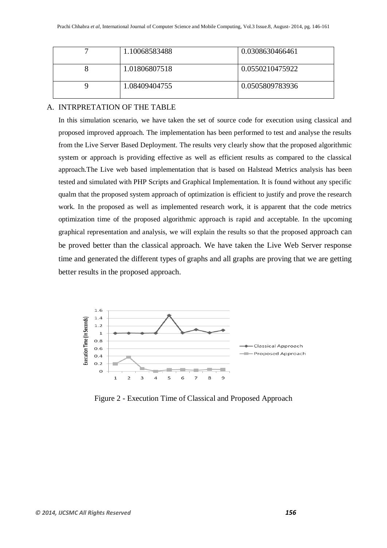| 1.10068583488 | 0.0308630466461 |
|---------------|-----------------|
| 1.01806807518 | 0.0550210475922 |
| 1.08409404755 | 0.0505809783936 |

## A. INTRPRETATION OF THE TABLE

In this simulation scenario, we have taken the set of source code for execution using classical and proposed improved approach. The implementation has been performed to test and analyse the results from the Live Server Based Deployment. The results very clearly show that the proposed algorithmic system or approach is providing effective as well as efficient results as compared to the classical approach.The Live web based implementation that is based on Halstead Metrics analysis has been tested and simulated with PHP Scripts and Graphical Implementation. It is found without any specific qualm that the proposed system approach of optimization is efficient to justify and prove the research work. In the proposed as well as implemented research work, it is apparent that the code metrics optimization time of the proposed algorithmic approach is rapid and acceptable. In the upcoming graphical representation and analysis, we will explain the results so that the proposed approach can be proved better than the classical approach. We have taken the Live Web Server response time and generated the different types of graphs and all graphs are proving that we are getting better results in the proposed approach.



Figure 2 - Execution Time of Classical and Proposed Approach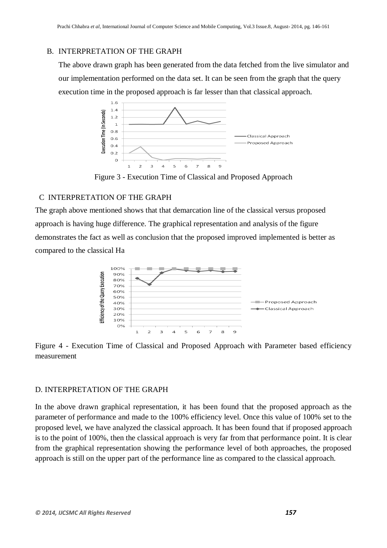#### B. INTERPRETATION OF THE GRAPH

The above drawn graph has been generated from the data fetched from the live simulator and our implementation performed on the data set. It can be seen from the graph that the query execution time in the proposed approach is far lesser than that classical approach.



Figure 3 - Execution Time of Classical and Proposed Approach

# C INTERPRETATION OF THE GRAPH

The graph above mentioned shows that that demarcation line of the classical versus proposed approach is having huge difference. The graphical representation and analysis of the figure demonstrates the fact as well as conclusion that the proposed improved implemented is better as compared to the classical Ha



Figure 4 - Execution Time of Classical and Proposed Approach with Parameter based efficiency measurement

## D. INTERPRETATION OF THE GRAPH

In the above drawn graphical representation, it has been found that the proposed approach as the parameter of performance and made to the 100% efficiency level. Once this value of 100% set to the proposed level, we have analyzed the classical approach. It has been found that if proposed approach is to the point of 100%, then the classical approach is very far from that performance point. It is clear from the graphical representation showing the performance level of both approaches, the proposed approach is still on the upper part of the performance line as compared to the classical approach.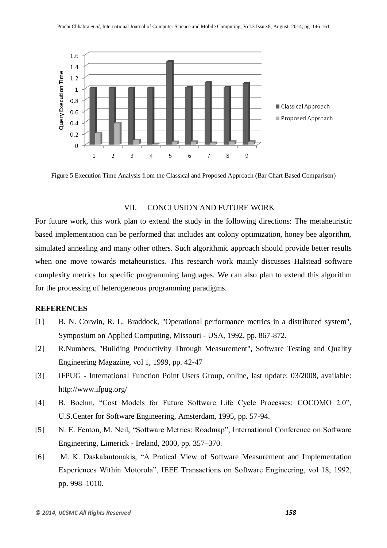

Figure 5 Execution Time Analysis from the Classical and Proposed Approach (Bar Chart Based Comparison)

## VII. CONCLUSION AND FUTURE WORK

For future work, this work plan to extend the study in the following directions: The metaheuristic based implementation can be performed that includes ant colony optimization, honey bee algorithm, simulated annealing and many other others. Such algorithmic approach should provide better results when one move towards metaheuristics. This research work mainly discusses Halstead software complexity metrics for specific programming languages. We can also plan to extend this algorithm for the processing of heterogeneous programming paradigms.

### **REFERENCES**

- [1] B. N. Corwin, R. L. Braddock, "Operational performance metrics in a distributed system", Symposium on Applied Computing, Missouri - USA, 1992, pp. 867-872.
- [2] R.Numbers, "Building Productivity Through Measurement", Software Testing and Quality Engineering Magazine, vol 1, 1999, pp. 42-47
- [3] IFPUG International Function Point Users Group, online, last update: 03/2008, available: http://www.ifpug.org/
- [4] B. Boehm, "Cost Models for Future Software Life Cycle Processes: COCOMO 2.0", U.S.Center for Software Engineering, Amsterdam, 1995, pp. 57-94.
- [5] N. E. Fenton, M. Neil, "Software Metrics: Roadmap", International Conference on Software Engineering, Limerick - Ireland, 2000, pp. 357–370.
- [6] M. K. Daskalantonakis, "A Pratical View of Software Measurement and Implementation Experiences Within Motorola", IEEE Transactions on Software Engineering, vol 18, 1992, pp. 998–1010.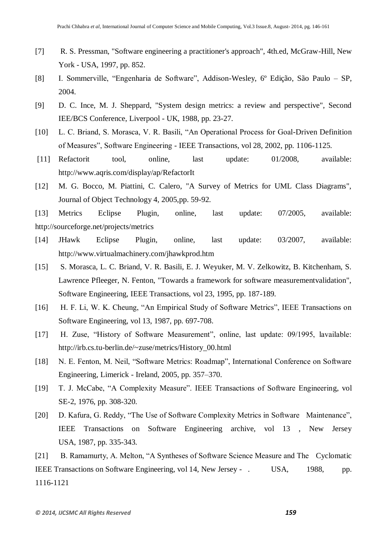- [7] R. S. Pressman, "Software engineering a practitioner's approach", 4th.ed, McGraw-Hill, New York - USA, 1997, pp. 852.
- [8] I. Sommerville, "Engenharia de Software", Addison-Wesley, 6º Edição, São Paulo SP, 2004.
- [9] D. C. Ince, M. J. Sheppard, "System design metrics: a review and perspective", Second IEE/BCS Conference, Liverpool - UK, 1988, pp. 23-27.
- [10] L. C. Briand, S. Morasca, V. R. Basili, "An Operational Process for Goal-Driven Definition of Measures", Software Engineering - IEEE Transactions, vol 28, 2002, pp. 1106-1125.
- [11] Refactorit tool, online, last update: 01/2008, available: http://www.aqris.com/display/ap/RefactorIt
- [12] M. G. Bocco, M. Piattini, C. Calero, "A Survey of Metrics for UML Class Diagrams", Journal of Object Technology 4, 2005,pp. 59-92.

[13] Metrics Eclipse Plugin, online, last update: 07/2005, available: http://sourceforge.net/projects/metrics

- [14] JHawk Eclipse Plugin, online, last update: 03/2007, available: http://www.virtualmachinery.com/jhawkprod.htm
- [15] S. Morasca, L. C. Briand, V. R. Basili, E. J. Weyuker, M. V. Zelkowitz, B. Kitchenham, S. Lawrence Pfleeger, N. Fenton, "Towards a framework for software measurementvalidation", Software Engineering, IEEE Transactions, vol 23, 1995, pp. 187-189.
- [16] H. F. Li, W. K. Cheung, "An Empirical Study of Software Metrics", IEEE Transactions on Software Engineering, vol 13, 1987, pp. 697-708.
- [17] H. Zuse, "History of Software Measurement", online, last update: 09/1995, lavailable: http://irb.cs.tu-berlin.de/~zuse/metrics/History\_00.html
- [18] N. E. Fenton, M. Neil, "Software Metrics: Roadmap", International Conference on Software Engineering, Limerick - Ireland, 2005, pp. 357–370.
- [19] T. J. McCabe, "A Complexity Measure". IEEE Transactions of Software Engineering, vol SE-2, 1976, pp. 308-320.
- [20] D. Kafura, G. Reddy, "The Use of Software Complexity Metrics in Software Maintenance", IEEE Transactions on Software Engineering archive, vol 13 , New Jersey USA, 1987, pp. 335-343.

[21] B. Ramamurty, A. Melton, "A Syntheses of Software Science Measure and The Cyclomatic IEEE Transactions on Software Engineering, vol 14, New Jersey - . USA, 1988, pp. 1116-1121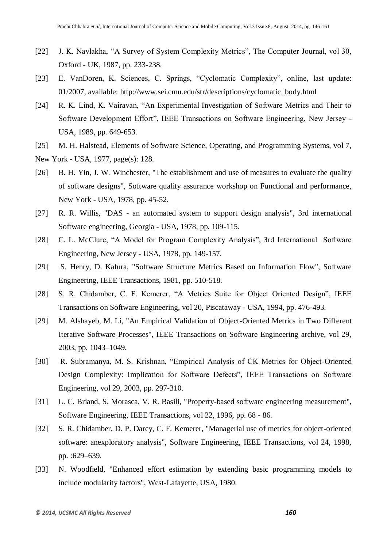- [22] J. K. Navlakha, "A Survey of System Complexity Metrics", The Computer Journal, vol 30, Oxford - UK, 1987, pp. 233-238.
- [23] E. VanDoren, K. Sciences, C. Springs, "Cyclomatic Complexity", online, last update: 01/2007, available: http://www.sei.cmu.edu/str/descriptions/cyclomatic\_body.html
- [24] R. K. Lind, K. Vairavan, "An Experimental Investigation of Software Metrics and Their to Software Development Effort", IEEE Transactions on Software Engineering, New Jersey - USA, 1989, pp. 649-653.
- [25] M. H. Halstead, Elements of Software Science, Operating, and Programming Systems, vol 7,
- New York USA, 1977, page(s): 128.
- [26] B. H. Yin, J. W. Winchester, "The establishment and use of measures to evaluate the quality of software designs", Software quality assurance workshop on Functional and performance, New York - USA, 1978, pp. 45-52.
- [27] R. R. Willis, "DAS an automated system to support design analysis", 3rd international Software engineering, Georgia - USA, 1978, pp. 109-115.
- [28] C. L. McClure, "A Model for Program Complexity Analysis", 3rd International Software Engineering, New Jersey - USA, 1978, pp. 149-157.
- [29] S. Henry, D. Kafura, "Software Structure Metrics Based on Information Flow", Software Engineering, IEEE Transactions, 1981, pp. 510-518.
- [28] S. R. Chidamber, C. F. Kemerer, "A Metrics Suite for Object Oriented Design", IEEE Transactions on Software Engineering, vol 20, Piscataway - USA, 1994, pp. 476-493.
- [29] M. Alshayeb, M. Li, "An Empirical Validation of Object-Oriented Metrics in Two Different Iterative Software Processes", IEEE Transactions on Software Engineering archive, vol 29, 2003, pp. 1043–1049.
- [30] R. Subramanya, M. S. Krishnan, "Empirical Analysis of CK Metrics for Object-Oriented Design Complexity: Implication for Software Defects", IEEE Transactions on Software Engineering, vol 29, 2003, pp. 297-310.
- [31] L. C. Briand, S. Morasca, V. R. Basili, "Property-based software engineering measurement", Software Engineering, IEEE Transactions, vol 22, 1996, pp. 68 - 86.
- [32] S. R. Chidamber, D. P. Darcy, C. F. Kemerer, "Managerial use of metrics for object-oriented software: anexploratory analysis", Software Engineering, IEEE Transactions, vol 24, 1998, pp. :629–639.
- [33] N. Woodfield, "Enhanced effort estimation by extending basic programming models to include modularity factors", West-Lafayette, USA, 1980.